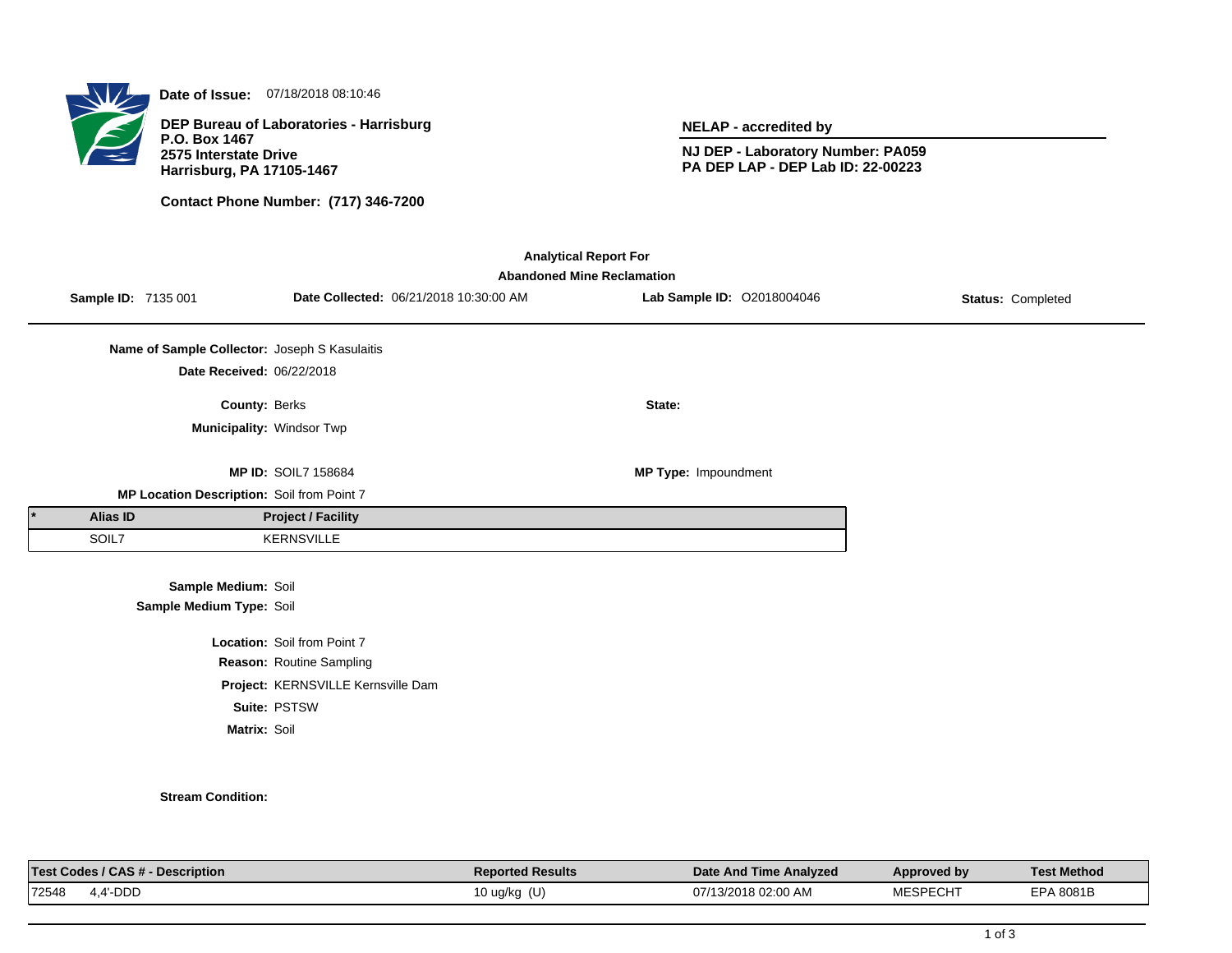

**Date of Issue:** 07/18/2018 08:10:46

**DEP Bureau of Laboratories - Harrisburg P.O. Box 1467 2575 Interstate Drive Harrisburg, PA 17105-1467**

**Contact Phone Number: (717) 346-7200**

**NELAP - accredited by**

**NJ DEP - Laboratory Number: PA059 PA DEP LAP - DEP Lab ID: 22-00223**

| <b>Analytical Report For</b><br><b>Abandoned Mine Reclamation</b> |                                               |                                    |                                        |                            |                   |  |  |  |  |
|-------------------------------------------------------------------|-----------------------------------------------|------------------------------------|----------------------------------------|----------------------------|-------------------|--|--|--|--|
| Sample ID: 7135 001                                               |                                               |                                    | Date Collected: 06/21/2018 10:30:00 AM | Lab Sample ID: 02018004046 | Status: Completed |  |  |  |  |
|                                                                   | Name of Sample Collector: Joseph S Kasulaitis |                                    |                                        |                            |                   |  |  |  |  |
|                                                                   | Date Received: 06/22/2018                     |                                    |                                        |                            |                   |  |  |  |  |
|                                                                   | County: Berks                                 |                                    |                                        | State:                     |                   |  |  |  |  |
|                                                                   | Municipality: Windsor Twp                     |                                    |                                        |                            |                   |  |  |  |  |
|                                                                   |                                               |                                    |                                        |                            |                   |  |  |  |  |
|                                                                   |                                               | <b>MP ID: SOIL7 158684</b>         |                                        | MP Type: Impoundment       |                   |  |  |  |  |
|                                                                   | MP Location Description: Soil from Point 7    |                                    |                                        |                            |                   |  |  |  |  |
| Alias ID                                                          |                                               | <b>Project / Facility</b>          |                                        |                            |                   |  |  |  |  |
| SOIL7                                                             |                                               | <b>KERNSVILLE</b>                  |                                        |                            |                   |  |  |  |  |
|                                                                   |                                               |                                    |                                        |                            |                   |  |  |  |  |
|                                                                   | Sample Medium: Soil                           |                                    |                                        |                            |                   |  |  |  |  |
|                                                                   | Sample Medium Type: Soil                      |                                    |                                        |                            |                   |  |  |  |  |
|                                                                   |                                               | Location: Soil from Point 7        |                                        |                            |                   |  |  |  |  |
|                                                                   |                                               | Reason: Routine Sampling           |                                        |                            |                   |  |  |  |  |
|                                                                   |                                               | Project: KERNSVILLE Kernsville Dam |                                        |                            |                   |  |  |  |  |
|                                                                   |                                               | Suite: PSTSW                       |                                        |                            |                   |  |  |  |  |
|                                                                   | Matrix: Soil                                  |                                    |                                        |                            |                   |  |  |  |  |

## **Stream Condition:**

| Test L<br><b>Description</b><br><b>CL</b><br>codes<br><b>UAJ#</b> | <b>Reported Results</b> | Date And Time Analyzed        | Approved bv         | <b>Test Method</b> |
|-------------------------------------------------------------------|-------------------------|-------------------------------|---------------------|--------------------|
| 72548<br>'-DDD                                                    | (U)<br>10 ug/kg         | $02:00$ AM<br>07/1<br>13/2018 | 100000000000<br>cun | 8081E<br>$-DA$     |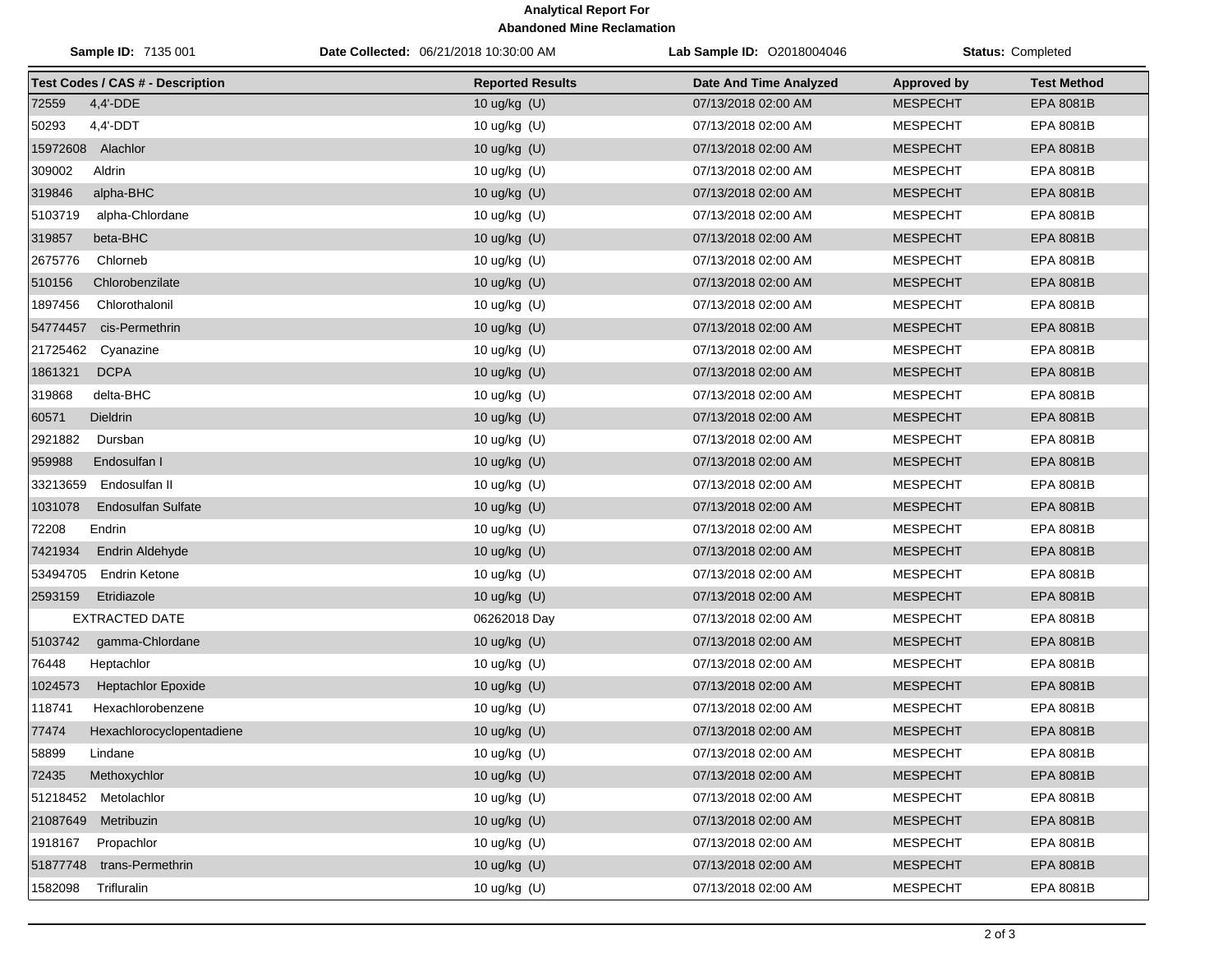## **Analytical Report For Abandoned Mine Reclamation**

| Sample ID: 7135 001                     | Date Collected: 06/21/2018 10:30:00 AM | Lab Sample ID: 02018004046 |                    | Status: Completed  |
|-----------------------------------------|----------------------------------------|----------------------------|--------------------|--------------------|
| <b>Test Codes / CAS # - Description</b> | <b>Reported Results</b>                | Date And Time Analyzed     | <b>Approved by</b> | <b>Test Method</b> |
| 72559<br>$4,4'$ -DDE                    | 10 ug/kg (U)                           | 07/13/2018 02:00 AM        | <b>MESPECHT</b>    | EPA 8081B          |
| 50293<br>$4.4'$ -DDT                    | 10 ug/kg (U)                           | 07/13/2018 02:00 AM        | <b>MESPECHT</b>    | EPA 8081B          |
| 15972608 Alachlor                       | 10 ug/kg (U)                           | 07/13/2018 02:00 AM        | <b>MESPECHT</b>    | EPA 8081B          |
| 309002<br>Aldrin                        | 10 ug/kg (U)                           | 07/13/2018 02:00 AM        | <b>MESPECHT</b>    | EPA 8081B          |
| 319846<br>alpha-BHC                     | 10 ug/kg (U)                           | 07/13/2018 02:00 AM        | <b>MESPECHT</b>    | <b>EPA 8081B</b>   |
| 5103719<br>alpha-Chlordane              | 10 ug/kg (U)                           | 07/13/2018 02:00 AM        | <b>MESPECHT</b>    | EPA 8081B          |
| 319857<br>beta-BHC                      | 10 ug/kg (U)                           | 07/13/2018 02:00 AM        | <b>MESPECHT</b>    | <b>EPA 8081B</b>   |
| 2675776<br>Chlorneb                     | 10 ug/kg (U)                           | 07/13/2018 02:00 AM        | <b>MESPECHT</b>    | EPA 8081B          |
| Chlorobenzilate<br>510156               | 10 ug/kg (U)                           | 07/13/2018 02:00 AM        | <b>MESPECHT</b>    | <b>EPA 8081B</b>   |
| 1897456<br>Chlorothalonil               | 10 ug/kg (U)                           | 07/13/2018 02:00 AM        | <b>MESPECHT</b>    | EPA 8081B          |
| 54774457<br>cis-Permethrin              | 10 ug/kg (U)                           | 07/13/2018 02:00 AM        | <b>MESPECHT</b>    | <b>EPA 8081B</b>   |
| 21725462<br>Cyanazine                   | 10 ug/kg (U)                           | 07/13/2018 02:00 AM        | <b>MESPECHT</b>    | EPA 8081B          |
| 1861321<br><b>DCPA</b>                  | 10 ug/kg (U)                           | 07/13/2018 02:00 AM        | <b>MESPECHT</b>    | EPA 8081B          |
| delta-BHC<br>319868                     | 10 ug/kg (U)                           | 07/13/2018 02:00 AM        | <b>MESPECHT</b>    | EPA 8081B          |
| 60571<br>Dieldrin                       | 10 ug/kg (U)                           | 07/13/2018 02:00 AM        | <b>MESPECHT</b>    | <b>EPA 8081B</b>   |
| 2921882<br>Dursban                      | 10 ug/kg (U)                           | 07/13/2018 02:00 AM        | <b>MESPECHT</b>    | EPA 8081B          |
| 959988<br>Endosulfan I                  | 10 ug/kg (U)                           | 07/13/2018 02:00 AM        | <b>MESPECHT</b>    | <b>EPA 8081B</b>   |
| 33213659<br>Endosulfan II               | 10 ug/kg (U)                           | 07/13/2018 02:00 AM        | <b>MESPECHT</b>    | EPA 8081B          |
| 1031078<br><b>Endosulfan Sulfate</b>    | 10 ug/kg (U)                           | 07/13/2018 02:00 AM        | <b>MESPECHT</b>    | <b>EPA 8081B</b>   |
| 72208<br>Endrin                         | 10 ug/kg (U)                           | 07/13/2018 02:00 AM        | <b>MESPECHT</b>    | EPA 8081B          |
| 7421934<br>Endrin Aldehyde              | 10 ug/kg (U)                           | 07/13/2018 02:00 AM        | <b>MESPECHT</b>    | <b>EPA 8081B</b>   |
| 53494705<br><b>Endrin Ketone</b>        | 10 ug/kg (U)                           | 07/13/2018 02:00 AM        | <b>MESPECHT</b>    | EPA 8081B          |
| 2593159<br>Etridiazole                  | 10 ug/kg (U)                           | 07/13/2018 02:00 AM        | <b>MESPECHT</b>    | EPA 8081B          |
| EXTRACTED DATE                          | 06262018 Day                           | 07/13/2018 02:00 AM        | <b>MESPECHT</b>    | EPA 8081B          |
| 5103742<br>gamma-Chlordane              | 10 ug/kg (U)                           | 07/13/2018 02:00 AM        | <b>MESPECHT</b>    | <b>EPA 8081B</b>   |
| 76448<br>Heptachlor                     | 10 ug/kg (U)                           | 07/13/2018 02:00 AM        | <b>MESPECHT</b>    | EPA 8081B          |
| 1024573<br><b>Heptachlor Epoxide</b>    | 10 ug/kg (U)                           | 07/13/2018 02:00 AM        | <b>MESPECHT</b>    | EPA 8081B          |
| 118741<br>Hexachlorobenzene             | 10 ug/kg (U)                           | 07/13/2018 02:00 AM        | <b>MESPECHT</b>    | EPA 8081B          |
| 77474<br>Hexachlorocyclopentadiene      | 10 ug/kg (U)                           | 07/13/2018 02:00 AM        | <b>MESPECHT</b>    | <b>EPA 8081B</b>   |
| 58899<br>Lindane                        | 10 ug/kg (U)                           | 07/13/2018 02:00 AM        | <b>MESPECHT</b>    | EPA 8081B          |
| Methoxychlor<br>72435                   | 10 ug/kg (U)                           | 07/13/2018 02:00 AM        | <b>MESPECHT</b>    | <b>EPA 8081B</b>   |
| 51218452 Metolachlor                    | 10 ug/kg (U)                           | 07/13/2018 02:00 AM        | <b>MESPECHT</b>    | EPA 8081B          |
| 21087649<br>Metribuzin                  | 10 ug/kg (U)                           | 07/13/2018 02:00 AM        | <b>MESPECHT</b>    | EPA 8081B          |
| 1918167<br>Propachlor                   | 10 ug/kg (U)                           | 07/13/2018 02:00 AM        | <b>MESPECHT</b>    | EPA 8081B          |
| 51877748<br>trans-Permethrin            | 10 ug/kg (U)                           | 07/13/2018 02:00 AM        | <b>MESPECHT</b>    | EPA 8081B          |
| Trifluralin<br>1582098                  | 10 ug/kg (U)                           | 07/13/2018 02:00 AM        | <b>MESPECHT</b>    | EPA 8081B          |